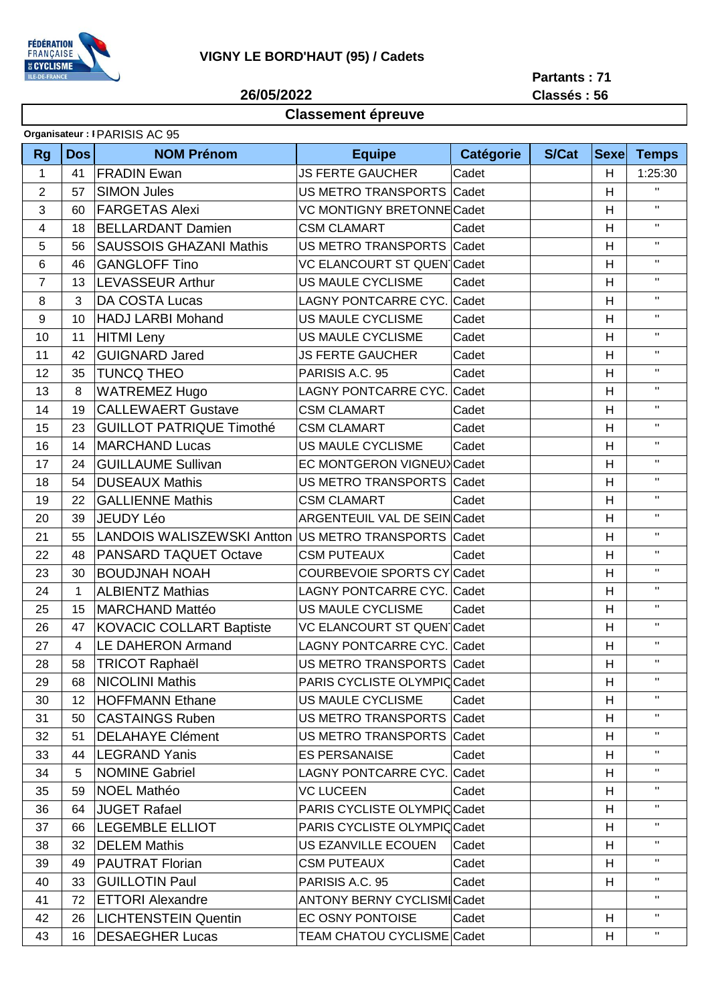

**26/05/2022**

## **Partants : 71 Classés : 56**

## **Classement épreuve**

| <b>Rg</b>      | <b>Dos</b> | <b>NOM Prénom</b>                                    | <b>Equipe</b>                       | <b>Catégorie</b> | <b>S/Cat</b> | <b>Sexe</b> | <b>Temps</b> |
|----------------|------------|------------------------------------------------------|-------------------------------------|------------------|--------------|-------------|--------------|
| 1              | 41         | <b>FRADIN Ewan</b>                                   | <b>JS FERTE GAUCHER</b>             | Cadet            |              | H           | 1:25:30      |
| $\overline{c}$ | 57         | <b>SIMON Jules</b>                                   | US METRO TRANSPORTS Cadet           |                  |              | H           | $\mathbf{H}$ |
| 3              | 60         | <b>FARGETAS Alexi</b>                                | <b>VC MONTIGNY BRETONNE Cadet</b>   |                  |              | H           | $\mathbf H$  |
| 4              | 18         | <b>BELLARDANT Damien</b>                             | <b>CSM CLAMART</b>                  | Cadet            |              | Н           | $\mathbf{H}$ |
| 5              | 56         | <b>SAUSSOIS GHAZANI Mathis</b>                       | US METRO TRANSPORTS Cadet           |                  |              | H           | $\mathbf{H}$ |
| 6              | 46         | <b>GANGLOFF Tino</b>                                 | VC ELANCOURT ST QUEN Cadet          |                  |              | H           | $\mathbf{H}$ |
| 7              | 13         | <b>LEVASSEUR Arthur</b>                              | US MAULE CYCLISME                   | Cadet            |              | H           | $\mathbf{H}$ |
| 8              | 3          | DA COSTA Lucas                                       | <b>LAGNY PONTCARRE CYC.</b>         | Cadet            |              | H           | $\mathbf H$  |
| 9              | 10         | <b>HADJ LARBI Mohand</b>                             | US MAULE CYCLISME                   | Cadet            |              | H           | $\mathbf{H}$ |
| 10             | 11         | <b>HITMI</b> Leny                                    | US MAULE CYCLISME                   | Cadet            |              | H           | $\mathbf{H}$ |
| 11             | 42         | <b>GUIGNARD Jared</b>                                | <b>JS FERTE GAUCHER</b>             | Cadet            |              | Н           | $\mathbf{H}$ |
| 12             | 35         | <b>TUNCQ THEO</b>                                    | PARISIS A.C. 95                     | Cadet            |              | H           | $\mathbf{H}$ |
| 13             | 8          | <b>WATREMEZ Hugo</b>                                 | LAGNY PONTCARRE CYC.                | Cadet            |              | H           | $\mathbf{H}$ |
| 14             | 19         | <b>CALLEWAERT Gustave</b>                            | <b>CSM CLAMART</b>                  | Cadet            |              | H           | $\mathbf{H}$ |
| 15             | 23         | <b>GUILLOT PATRIQUE Timothé</b>                      | <b>CSM CLAMART</b>                  | Cadet            |              | Н           | $\mathbf{H}$ |
| 16             | 14         | <b>MARCHAND Lucas</b>                                | US MAULE CYCLISME                   | Cadet            |              | H           | $\mathbf{H}$ |
| 17             | 24         | <b>GUILLAUME Sullivan</b>                            | EC MONTGERON VIGNEUX Cadet          |                  |              | H           | $\mathbf{H}$ |
| 18             | 54         | <b>DUSEAUX Mathis</b>                                | US METRO TRANSPORTS Cadet           |                  |              | H           | $\mathbf H$  |
| 19             | 22         | <b>GALLIENNE Mathis</b>                              | <b>CSM CLAMART</b>                  | Cadet            |              | H           | $\mathbf{H}$ |
| 20             | 39         | <b>JEUDY Léo</b>                                     | <b>ARGENTEUIL VAL DE SEIN Cadet</b> |                  |              | H           | $\mathbf{H}$ |
| 21             | 55         | LANDOIS WALISZEWSKI Antton US METRO TRANSPORTS Cadet |                                     |                  |              | H           | $\mathbf{H}$ |
| 22             | 48         | PANSARD TAQUET Octave                                | <b>CSM PUTEAUX</b>                  | Cadet            |              | H           | $\mathbf{H}$ |
| 23             | 30         | <b>BOUDJNAH NOAH</b>                                 | <b>COURBEVOIE SPORTS CY Cadet</b>   |                  |              | H           | $\mathbf{H}$ |
| 24             | 1          | <b>ALBIENTZ Mathias</b>                              | LAGNY PONTCARRE CYC. Cadet          |                  |              | H           | $\mathbf{H}$ |
| 25             | 15         | <b>MARCHAND Mattéo</b>                               | US MAULE CYCLISME                   | Cadet            |              | H           | $\mathbf{H}$ |
| 26             | 47         | <b>KOVACIC COLLART Baptiste</b>                      | VC ELANCOURT ST QUEN Cadet          |                  |              | H           | $\mathbf{H}$ |
| 27             | 4          | <b>LE DAHERON Armand</b>                             | LAGNY PONTCARRE CYC. Cadet          |                  |              | H           | $\mathbf{H}$ |
| 28             | 58         | <b>TRICOT Raphaël</b>                                | US METRO TRANSPORTS Cadet           |                  |              | Н           | $\mathbf{H}$ |
| 29             | 68         | <b>NICOLINI Mathis</b>                               | PARIS CYCLISTE OLYMPIC Cadet        |                  |              | H           | $\mathbf H$  |
| 30             | 12         | <b>HOFFMANN Ethane</b>                               | US MAULE CYCLISME                   | Cadet            |              | H           | $\mathbf{H}$ |
| 31             | 50         | <b>CASTAINGS Ruben</b>                               | US METRO TRANSPORTS Cadet           |                  |              | H           | $\mathbf{H}$ |
| 32             | 51         | <b>DELAHAYE Clément</b>                              | US METRO TRANSPORTS Cadet           |                  |              | H           | $\mathbf{H}$ |
| 33             | 44         | <b>LEGRAND Yanis</b>                                 | <b>ES PERSANAISE</b>                | Cadet            |              | H           | $\mathbf H$  |
| 34             | 5          | <b>NOMINE Gabriel</b>                                | LAGNY PONTCARRE CYC. Cadet          |                  |              | H           | $\mathbf H$  |
| 35             | 59         | <b>NOEL Mathéo</b>                                   | <b>VC LUCEEN</b>                    | Cadet            |              | H           | $\mathbf{H}$ |
| 36             | 64         | JUGET Rafael                                         | PARIS CYCLISTE OLYMPICCadet         |                  |              | H           | $\mathbf H$  |
| 37             | 66         | <b>LEGEMBLE ELLIOT</b>                               | PARIS CYCLISTE OLYMPICCadet         |                  |              | H           | $\mathbf{H}$ |
| 38             | 32         | <b>DELEM Mathis</b>                                  | US EZANVILLE ECOUEN                 | Cadet            |              | H           | $\mathbf H$  |
| 39             | 49         | <b>PAUTRAT Florian</b>                               | <b>CSM PUTEAUX</b>                  | Cadet            |              | H           | $\mathbf{H}$ |
| 40             | 33         | <b>GUILLOTIN Paul</b>                                | PARISIS A.C. 95                     | Cadet            |              | H           | $\mathbf{H}$ |
| 41             | 72         | <b>ETTORI Alexandre</b>                              | <b>ANTONY BERNY CYCLISMICadet</b>   |                  |              |             | $\mathbf{H}$ |
| 42             | 26         | LICHTENSTEIN Quentin                                 | EC OSNY PONTOISE                    | Cadet            |              | H           | $\mathbf{H}$ |
| 43             | 16         | <b>DESAEGHER Lucas</b>                               | TEAM CHATOU CYCLISME Cadet          |                  |              | H           | $\mathbf{H}$ |